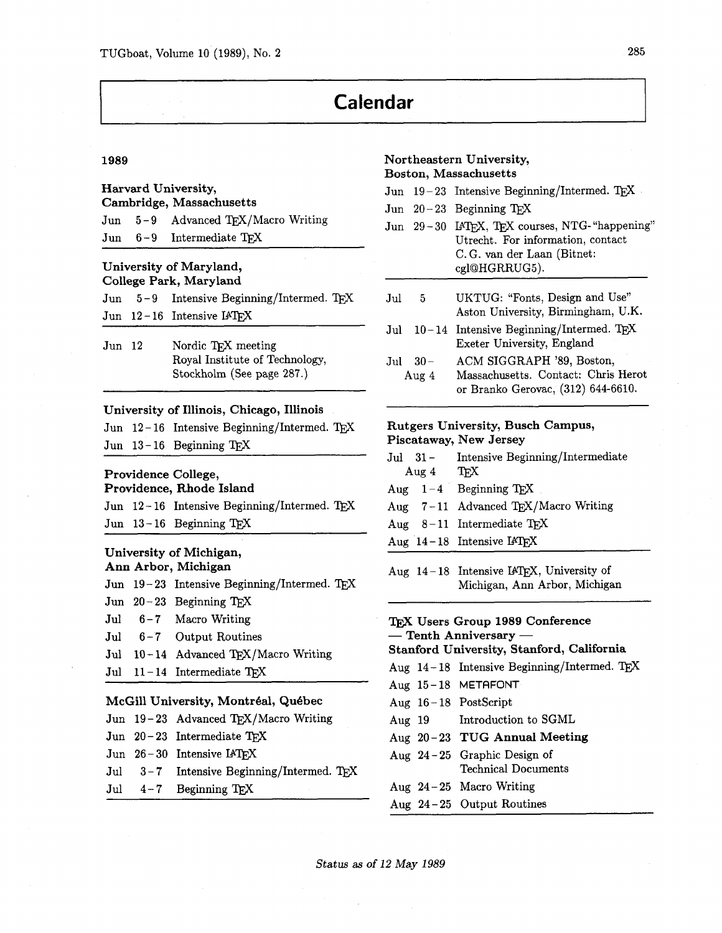# **Calendar**

#### 1989

# **Harvard University, Cambridge, Massachusetts**  Jun 5-9 Advanced TEX/Macro Writing Jun 6-9 Intermediate TFX

### **University of Maryland, College Park, Maryland**

|  | Jun $5-9$ Intensive Beginning/Intermed. TEX |  |
|--|---------------------------------------------|--|
|  | Jun $12-16$ Intensive $IATFX$               |  |

Jun 12 Nordic T<sub>F</sub>X meeting Royal Institute of Technology, Stockholm (See page **287.)** 

#### **University of Illinois, Chicago, Illinois**

|  | Jun 12-16 Intensive Beginning/Intermed. TEX |  |
|--|---------------------------------------------|--|
|  | Jun $13-16$ Beginning TFX                   |  |

### **Providence College,**

### **Providence, Rhode Island**

Jun 12-16 Intensive Beginning/Intermed. TEX Jun **13** - **16** Beginning TEX

#### **University of Michigan, Ann Arbor, Michigan**

|  | Jun 19-23 Intensive Beginning/Intermed. TEX |
|--|---------------------------------------------|
|  |                                             |

- Jun **20 23** Beginning TEX
- Jul 6-7 Macro Writing
- Jul **6 7** Output Routines
- Jul 10-14 Advanced TEX/Macro Writing
- Jul 11-14 Intermediate TFX

#### **McGill University, Montreal, Quebec**

|  | Jun 19-23 Advanced TEX/Macro Writing      |
|--|-------------------------------------------|
|  | Jun $20-23$ Intermediate TFX              |
|  | Jun $26-30$ Intensive $IATFX$             |
|  | Jul 3-7 Intensive Beginning/Intermed. TFX |
|  | Jul $4-7$ Beginning T <sub>E</sub> X      |

#### **Northeastern University, Boston, Massachusetts**

#### Jun 19-23 Intensive Beginning/Intermed. TFX

- $Jun 20-23$  Beginning  $TrX$
- Jun 29-30 IATEX, TEX courses, NTG-"happening" Utrecht. For information, contact C. G. van der Laan (Bitnet: cglQHGRRUG5).
- Jul 5 UKTUG: "Fonts, Design and Use" Aston University, Birmingham, U.K.
- Jul  $10 14$  Intensive Beginning/Intermed. T<sub>E</sub>X Exeter University, England
- Jul **30-** ACM SIGGRAPH **'89,** Boston, Aug **4** Massachusetts. Contact: Chris Herot or Branko Gerovac, **(312) 644-6610.**

### **Rutgers University, Busch Campus, Piscataway, New Jersey**

- Jul 31 Intensive Beginning/Intermediate<br>Aug 4 T<sub>E</sub>X Aug **4** 'I@
- Aug  $1-4$  Beginning TFX
- Aug  $7-11$  Advanced TEX/Macro Writing
- Aug  $8-11$  Intermediate T<sub>E</sub>X
- Aug 14-18 Intensive IATFX

Aug 14-18 Intensive IATEX, University of Michigan, Ann Arbor, Michigan

# **TEX Users Group 1989 Conference**  T<sub>E</sub>X Users Group 1989 Con<br>— Tenth Anniversary —<br>Stanford University Stanfol

# **Stanford University, Stanford, California**

- Aug 14-18 Intensive Beginning/Intermed. TEX
- Aug **15- 18**  METAFONT
- Aug **16-18**  Postscript
- Aug **19**  Introduction to SGML
- Aug **20-23 TUG Annual Meeting**
- Aug **24-25**  Graphic Design of
	- Technical Documents
- Aug **24-25**  Macro Writing
- Aug **24-25**  Output Routines

**Status as of 12 May 1989**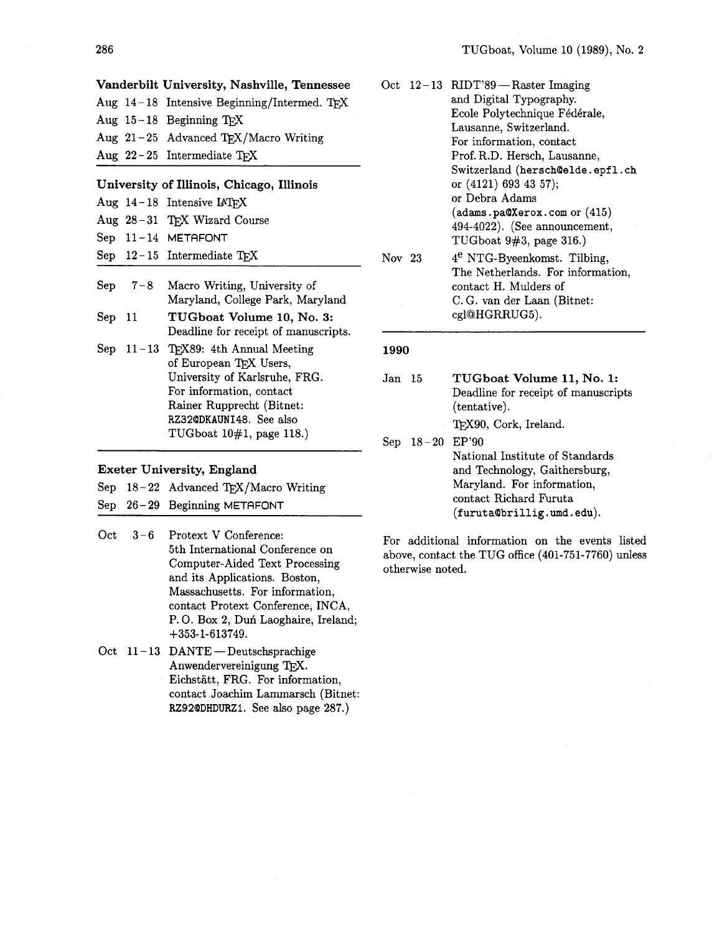|  | Vanderbilt University, Nashville, Tennessee   |
|--|-----------------------------------------------|
|  | Aug $14-18$ Intensive Beginning/Intermed. TFX |
|  | Aug $15-18$ Beginning TFX                     |
|  | Aug 21-25 Advanced TEX/Macro Writing          |
|  | Aug $22-25$ Intermediate TFX                  |

#### **University of Illinois, Chicago, Illinois**

|  | Aug $14-18$ Intensive IAT <sub>EX</sub> |  |
|--|-----------------------------------------|--|
|  |                                         |  |

- Aug 28-31 TEX Wizard Course
- Sep 11-14 METAFONT
- Sep  $12-15$  Intermediate TFX
- Sep  $7-8$ Macro Writing, University of Maryland, College Park, Maryland
- Sep 11 **TUGboat Volume** 10, **No. 3:**  Deadline for receipt of manuscripts.
- Sep  $11-13$  T<sub>E</sub>X89: 4th Annual Meeting of European TEX Users, University of Karlsruhe, FRG. For information, contact Rainer Rupprecht (Bitnet: RZ32QDKAUNI48. See also TUGboat 10#1, page 118.)

#### **Exeter University, England**

|  | Sep 18-22 Advanced TEX/Macro Writing |
|--|--------------------------------------|
|  | Sep 26-29 Beginning METAFONT         |

- $Oct$  $3 - 6$ Protext V Conference: 5th International Conference on Computer-Aided Text Processing and its Applications. Boston, Massachusetts. For information, contact Protext Conference, INCA, P. O. Box 2, Duń Laoghaire, Ireland; +353-1-613749.
- Oct  $11-13$  DANTE Deutschsprachige Anwendervereinigung TFX. Eichstatt, FRG. For information, contact Joachim Lammarsch (Bitnet: RZ92QDHDURZI. See also page 287.)

|        | Oct 12-13 RIDT'89 - Raster Imaging<br>and Digital Typography.<br>Ecole Polytechnique Fédérale,<br>Lausanne, Switzerland.<br>For information, contact<br>Prof. R.D. Hersch, Lausanne,<br>Switzerland (hersch@elde.epfl.ch<br>or (4121) 693 43 57);<br>or Debra Adams<br>(adas.pa@Xerox.com or (415))<br>494-4022). (See announcement, |
|--------|--------------------------------------------------------------------------------------------------------------------------------------------------------------------------------------------------------------------------------------------------------------------------------------------------------------------------------------|
| Nov 23 | TUGboat $9#3$ , page $316$ .)<br>4 <sup>e</sup> NTG-Byeenkomst. Tilbing,<br>The Netherlands. For information.<br>contact H. Mulders of<br>C.G. van der Laan (Bitnet:<br>cgl@HGRRUG5).                                                                                                                                                |

#### 1990

Jan 15 **TUGboat Volume 11, No. 1:**  Deadline for receipt of manuscripts (tentative). TEX90, Cork, Ireland. Sep 18-20 EP'90

National Institute of Standards and Technology, Gaithersburg, Maryland. For information, contact Richard Furuta  $(furuta@bridlig. und.edu).$ 

For additional information on the events listed above, contact the TUG office (401-751-7760) unless otherwise noted.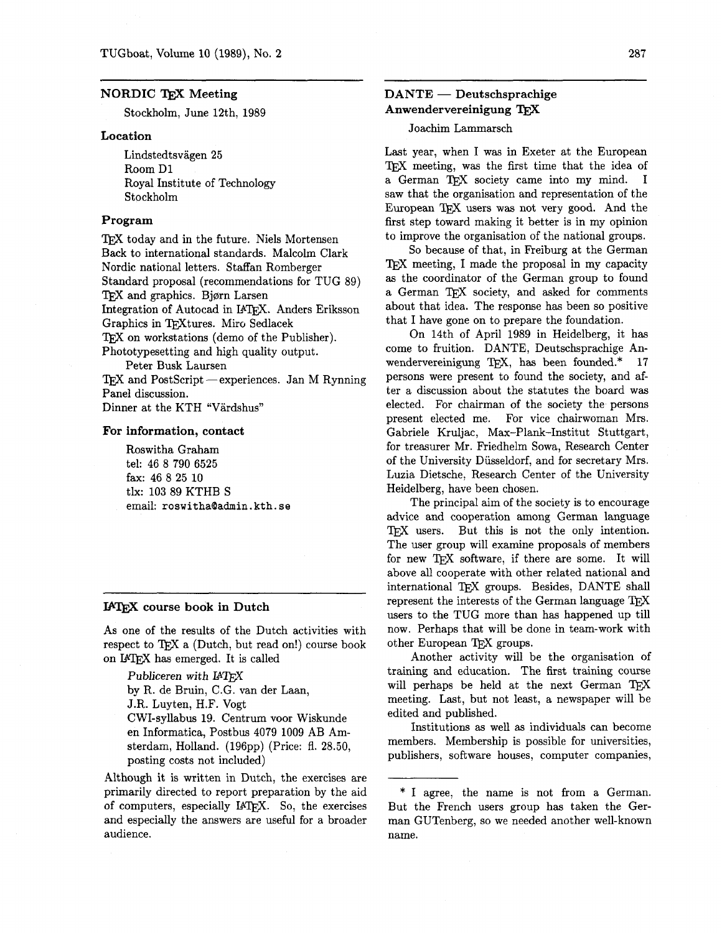#### **NORDIC TFX Meeting**

Stockholm, June 12th, 1989

#### **Location**

Lindstedtsvagen 25 Room Dl Royal Institute of Technology Stockholm

#### **Program**

TEX today and in the future. Niels Mortensen Back to international standards. Malcolm Clark Nordic national letters. Staffan Romberger Standard proposal (recommendations for TUG 89) TFX and graphics. Bjørn Larsen Integration of Autocad in IATFX. Anders Eriksson Graphics in TFXtures. Miro Sedlacek TEX on workstations (demo of the Publisher). Phototypesetting and high quality output. Peter Busk Laursen  $T$ FX and PostScript -experiences. Jan M Rynning

Panel discussion.

Dinner at the KTH "Värdshus"

#### **For information, contact**

Roswitha Graham tel: 46 8 790 6525 fax: 46 8 25 10 tlx: 103 89 KTHB S email: **roswitha0admin.** kth. **se** 

#### **IATEX** course book in Dutch

As one of the results of the Dutch activities with respect to  $TFX$  a (Dutch, but read on!) course book on **IATFX** has emerged. It is called

- -

Publiceren with IATFX by R. de Bruin, C.G. van der Laan, J.R. Luyten, H.F. Vogt CWI-syllabus 19. Centrum voor Wiskunde en Informatica, Postbus 4079 1009 AB Amsterdam, Holland. (196pp) (Price: fl. 28.50, posting costs not included)

Although it is written in Dutch, the exercises are primarily directed to report preparation by the aid of computers, especially IAT<sub>EX</sub>. So, the exercises and especially the answers are useful for a broader audience.

## **DANTE** - **Deutschsprachige Anwendervereinigung TFX**

Joachim Lammarsch

Last year, when I was in Exeter at the European TFX meeting, was the first time that the idea of a German TFX society came into my mind. I saw that the organisation and representation of the European TEX users was not very good. And the first step toward making it better is in my opinion to improve the organisation of the national groups.

So because of that, in Freiburg at the German TFX meeting, I made the proposal in my capacity as the coordinator of the German group to found a German TFX society, and asked for comments about that idea. The response has been so positive that I have gone on to prepare the foundation.

On 14th of April 1989 in Heidelberg, it has come to fruition. DANTE, Deutschsprachige Anwendervereinigung TEX, has been founded.\*  $17$ persons were present to found the society, and after a discussion about the statutes the board was elected. For chairman of the society the persons present elected me. For vice chairwoman Mrs. Gabriele Kruljac, Max-Plank-Institut Stuttgart, for treasurer Mr. Friedhelm Sowa, Research Center of the University Diisseldorf, and for secretary Mrs. Luzia Dietsche, Research Center of the University Heidelberg, have been chosen.

The principal aim of the society is to encourage advice and cooperation among German language TEX users. But this is not the only intention. The user group will examine proposals of members for new TFX software, if there are some. It will above all cooperate with other related national and international TFX groups. Besides, DANTE shall represent the interests of the German language TFX users to the TUG more than has happened up till now. Perhaps that will be done in team-work with other European TEX groups.

Another activity will be the organisation of training and education. The first training course will perhaps be held at the next German TFX meeting. Last, but not least, a newspaper will be edited and published.

Institutions as well as individuals can become members. Membership is possible for universities, publishers, software houses, computer companies,

<sup>\*</sup> I agree, the name is not from a German. But the French users group has taken the German GUTenberg, so we needed another well-known name.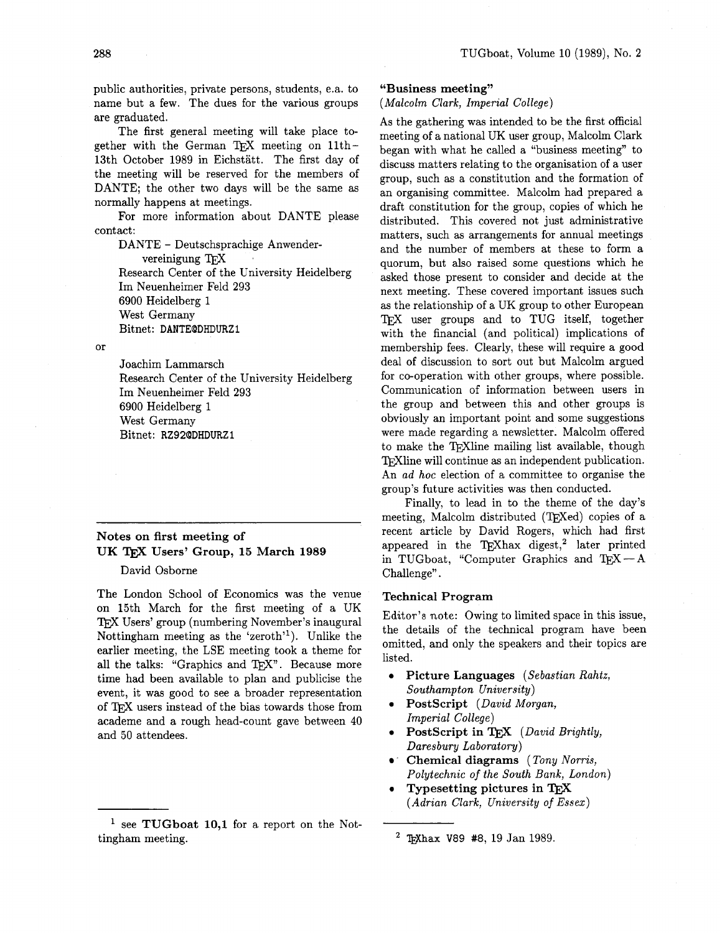public authorities, private persons, students, e.a. to name but a few. The dues for the various groups are graduated.

The first general meeting will take place together with the German TFX meeting on  $11th -$ 13th October 1989 in Eichstatt. The first day of the meeting will be reserved for the members of DANTE; the other two days will be the same as normally happens at meetings.

For more information about DANTE please contact:

DANTE - Deutschsprachige Anwender-<br>
vereinigung T<sub>E</sub>X Research Center of the University Heidelberg Im Neuenheimer Feld 293 6900 Heidelberg 1 West Germany Bitnet: **DANTEQDHDURZI** 

 $\alpha$ r

Joachim Lammarsch Research Center of the University Heidelberg Im Neuenheimer Feld 293 6900 Heidelberg 1 West Germany Bitnet: **RZ920DHDURZl** 

# **Notes on first meeting of UK** TEX **Users' Group, 15 March 1989**

#### David Osborne

The London School of Economics was the venue on 15th March for the first meeting of a UK TEX Users' group (numbering November's inaugural Nottingham meeting as the 'zeroth'l). Unlike the earlier meeting, the LSE meeting took a theme for all the talks: "Graphics and  $T_FX$ ". Because more time had been available to plan and publicise the event, it was good to see a broader representation of TEX users instead of the bias towards those from academe and a rough head-count gave between 40 and 50 attendees.

#### **"Business meeting"**

(Malcolm Clark, Imperial College)

As the gathering was intended to be the first official meeting of a national UK user group, Malcolm Clark began with what he called a "business meeting" to discuss matters relating to the organisation of a user group, such as a constitution and the formation of an organising committee. Malcolm had prepared a draft constitution for the group, copies of which he distributed. This covered not just administrative matters, such as arrangements for annual meetings and the number of members at these to form a quorum, but also raised some questions which he asked those present to consider and decide at the next meeting. These covered important issues such as the relationship of a UK group to other European TEX user groups and to TUG itself, together with the financial (and political) implications of membership fees. Clearly, these will require a good deal of discussion to sort out but Malcolm argued for co-operation with other groups, where possible. Communication of information between users in the group and between this and other groups is obviously an important point and some suggestions were made regarding a newsletter. Malcolm offered to make the TFXline mailing list available, though TrXline will continue as an independent publication. An ad hoc election of a committee to organise the group's future activities was then conducted.

Finally, to lead in to the theme of the day's meeting, Malcolm distributed (T<sub>F</sub>Xed) copies of a recent article by David Rogers, which had first appeared in the TEXhax digest,<sup>2</sup> later printed in TUGboat, "Computer Graphics and  $T_{E}X - A$ Challenge".

#### **Technical Program**

Editor's note: Owing to limited space in this issue, the details of the technical program have been omitted, and only the speakers and their topics are listed.

- **<sup>0</sup>Picture Languages** (Sebastian Rahtz, Southampton University)
- 0 **Postscript** (David Morgan, Imperial College)
- PostScript in T<sub>EX</sub> (David Brightly, Daresbury Laboratory)
- . **Chemical diagrams** (Tony Norris, Polytechnic of the South Bank, London)
- 0 **Typesetting pictures in**  (Adrian Clark, University of Essex)

<sup>&</sup>lt;sup>1</sup> see **TUGboat 10,1** for a report on the Nottingham meeting.

**Whax** V89 **#8,** 19 Jan 1989.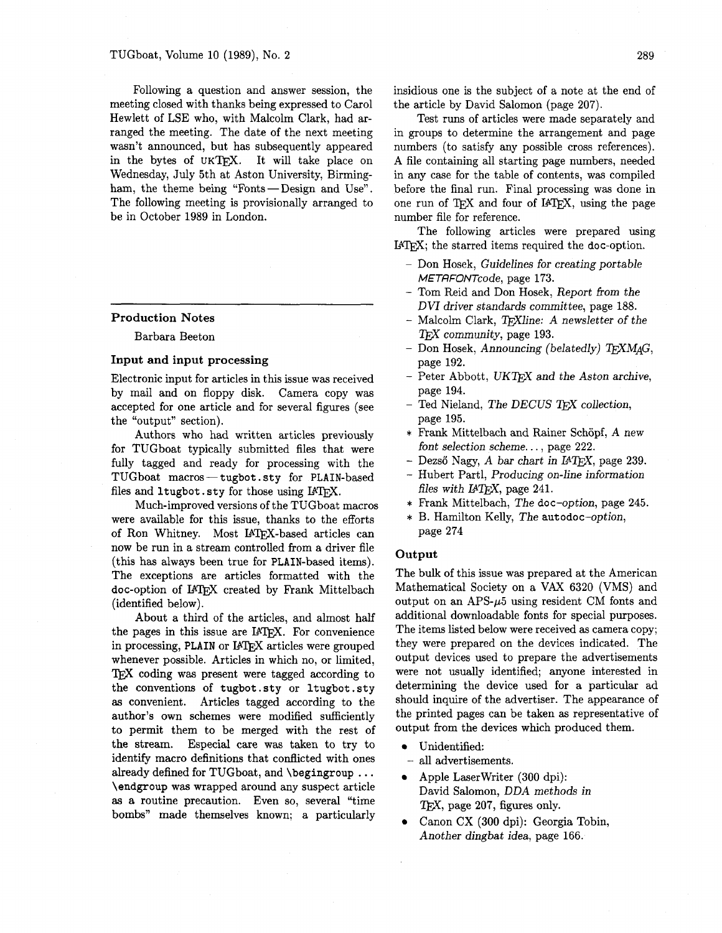Following a question and answer session, the meeting closed with thanks being expressed to Carol Hewlett of LSE who, with Malcolm Clark, had arranged the meeting. The date of the next meeting wasn't announced, but has subsequently appeared in the bytes of UKTFX. It will take place on Wednesday, July 5th at Aston University, Birmingham, the theme being "Fonts-Design and Use". The following meeting is provisionally arranged to be in October 1989 in London.

#### Production Notes

Barbara Beeton

#### Input and input processing

Electronic input for articles in this issue was received by mail and on floppy disk. Camera copy was accepted for one article and for several figures (see the "output" section).

Authors who had written articles previously for TUGboat typically submitted files that were fully tagged and ready for processing with the TUGboat macros — tugbot sty for PLAIN-based TUGboat macros — tugbot.sty for PLAIN-based<br>files and ltugbot.sty for those using IATFX.

Much-improved versions of the TUGboat macros were available for this issue, thanks to the efforts of Ron Whitney. Most IATFX-based articles can now be run in a stream controlled from a driver file (this has always been true for PLAIN-based items). The exceptions are articles formatted with the doc-option of U7QX created by Frank Mittelbach (identified below).

About a third of the articles, and almost half the pages in this issue are IATFX. For convenience in processing, PLAIN or IATEX articles were grouped whenever possible. Articles in which no, or limited, TEX coding was present were tagged according to the conventions of tugbot .sty or ltugbot .sty **as** convenient. Articles tagged according to the author's own schemes were modified sufficiently to permit them to be merged with the rest of the stream. Especial care was taken to try to identify macro definitions that conflicted with ones already defined for TUGboat, and \begingroup ... \endgroup was wrapped around any suspect article **as a** routine precaution. Even so, several "time bombs" made themselves known; a particularly insidious one is the subject of a note at the end of the article by David Salomon (page 207).

Test runs of articles were made separately and in groups to determine the arrangement and page numbers (to satisfy any possible cross references). A file containing all starting page numbers, needed in any case for the table of contents, was compiled before the final run. Final processing was done in one run of TEX and four of IATEX, using the page number file for reference.

The following articles were prepared using  $IATFX$ ; the starred items required the doc-option.

- Don Hosek, Guidelines for creating portable METRFONTcode, page 173.
- Tom Reid and Don Hosek, Report from the DVI driver standards committee, page 188.
- Malcolm Clark, TrXline: A newsletter of the T<sub>F</sub>X community, page 193.
- Don Hosek, Announcing (belatedly) TFXMAG, page 192.
- $-$  Peter Abbott, UKT<sub>F</sub>X and the Aston archive, page 194.
- $-$  Ted Nieland, The DECUS TFX collection, page 195.
- \* Frank Mittelbach and Rainer Schopf, A new font selection scheme. . . , page 222.
- Dezső Nagy, A bar chart in IATFX, page 239.
- Hubert Partl, Producing on-line information files with  $IATFX$ , page 241.
- \* Frank Mittelbach, The doc-option, page 245.
- \* B. Hamilton Kelly, The autodoc-option, page 274

#### **Output**

The bulk of this issue was prepared at the American Mathematical Society on a VAX 6320 (VMS) and output on an APS- $\mu$ 5 using resident CM fonts and additional downloadable fonts for special purposes. The items listed below were received as camera copy; they were prepared on the devices indicated. The output devices used to prepare the advertisements were not usually identified; anyone interested in determining the device used for a particular ad should inquire of the advertiser. The appearance of the printed pages can be taken as representative of output from the devices which produced them.

- Unidentified:
- all advertisements.
- Apple Laserwriter (300 dpi): David Salomon, **DDA** methods in  $T_FX$ , page 207, figures only.
- Canon CX (300 dpi): Georgia Tobin, Another dingbat idea, page 166.